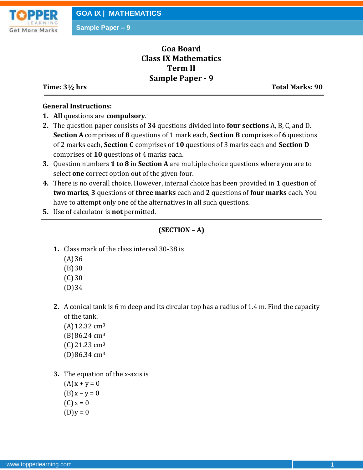

# **Goa Board Class IX Mathematics Term II Sample Paper - 9**

**Time: 3½ hrs** Total Marks: 90

## **General Instructions:**

- **1. All** questions are **compulsory**.
- **2.** The question paper consists of **34** questions divided into **four sections** A, B, C, and D. **Section A** comprises of **8** questions of 1 mark each, **Section B** comprises of **6** questions of 2 marks each, **Section C** comprises of **10** questions of 3 marks each and **Section D** comprises of **10** questions of 4 marks each.
- **3.** Question numbers **1 to 8** in **Section A** are multiple choice questions where you are to select **one** correct option out of the given four.
- **4.** There is no overall choice. However, internal choice has been provided in **1** question of **two marks**, **3** questions of **three marks** each and **2** questions of **four marks** each. You have to attempt only one of the alternatives in all such questions.
- **5.** Use of calculator is **not** permitted.

## **(SECTION – A)**

- **1.** Class mark of the class interval 30-38 is
	- $(A)36$
	- (B)38
	- (C) 30
	- (D)34
- **2.** A conical tank is 6 m deep and its circular top has a radius of 1.4 m. Find the capacity of the tank.
	- $(A)$ 12.32 cm<sup>3</sup>  $(B)86.24 \text{ cm}^3$  $(C)$  21.23 cm<sup>3</sup> (D)86.34 cm<sup>3</sup>
- **3.** The equation of the x-axis is
	- $(A)x + y = 0$  $(B) x - y = 0$  $(C) x = 0$  $(D)y = 0$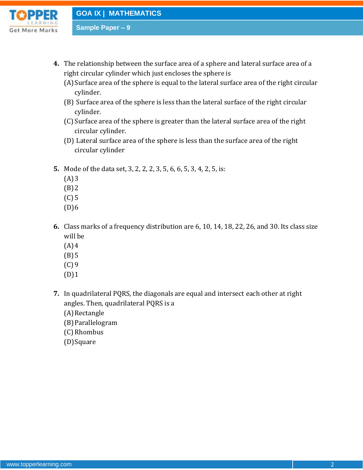

**GOA IX | MATHEMATICS**

**Sample Paper – 9**

- **4.** The relationship between the surface area of a sphere and lateral surface area of a right circular cylinder which just encloses the sphere is
	- (A)Surface area of the sphere is equal to the lateral surface area of the right circular cylinder.
	- (B) Surface area of the sphere is less than the lateral surface of the right circular cylinder.
	- (C)Surface area of the sphere is greater than the lateral surface area of the right circular cylinder.
	- (D) Lateral surface area of the sphere is less than the surface area of the right circular cylinder
- **5.** Mode of the data set, 3, 2, 2, 2, 3, 5, 6, 6, 5, 3, 4, 2, 5, is:
	- $(A)3$
	- $(B)$  2
	- (C) 5
	- $(D)6$
- **6.** Class marks of a frequency distribution are 6, 10, 14, 18, 22, 26, and 30. Its class size will be
	- $(A)4$
	- $(B)5$
	- (C) 9
	- (D)1
- **7.** In quadrilateral PQRS, the diagonals are equal and intersect each other at right angles. Then, quadrilateral PQRS is a

(A) Rectangle

- (B)Parallelogram
- (C) Rhombus
- (D)Square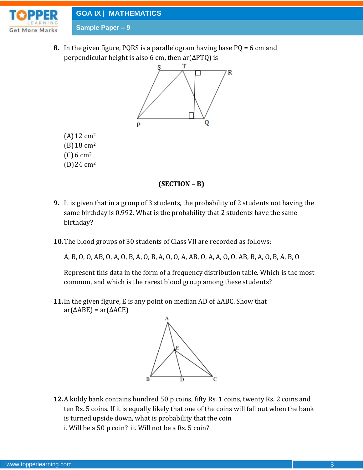

## **GOA IX | MATHEMATICS**

**Sample Paper – 9**

(A)12 cm<sup>2</sup> (B)18 cm<sup>2</sup>  $(C) 6 cm<sup>2</sup>$ (D)24 cm<sup>2</sup>

**8.** In the given figure, PQRS is a parallelogram having base PQ = 6 cm and perpendicular height is also 6 cm, then ar(ΔPTQ) is



## **(SECTION – B)**

- **9.** It is given that in a group of 3 students, the probability of 2 students not having the same birthday is 0.992. What is the probability that 2 students have the same birthday?
- **10.**The blood groups of 30 students of Class VII are recorded as follows:

A, B, O, O, AB, O, A, O, B, A, O, B, A, O, O, A, AB, O, A, A, O, O, AB, B, A, O, B, A, B, O

Represent this data in the form of a frequency distribution table. Which is the most common, and which is the rarest blood group among these students?

**11.**In the given figure, E is any point on median AD of ABC. Show that  $ar(\triangle ABE) = ar(\triangle ACE)$ 



**12.**A kiddy bank contains hundred 50 p coins, fifty Rs. 1 coins, twenty Rs. 2 coins and ten Rs. 5 coins. If it is equally likely that one of the coins will fall out when the bank is turned upside down, what is probability that the coin i. Will be a 50 p coin? ii. Will not be a Rs. 5 coin?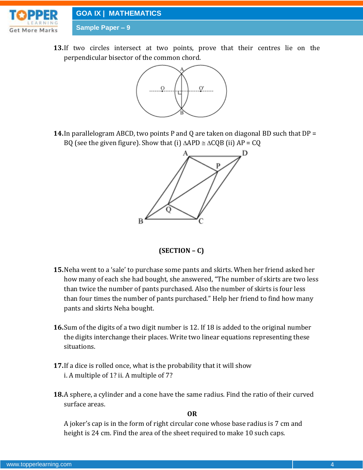

**13.**If two circles intersect at two points, prove that their centres lie on the perpendicular bisector of the common chord.



**14.**In parallelogram ABCD, two points P and Q are taken on diagonal BD such that DP = BQ (see the given figure). Show that (i)  $\triangle APD \cong \triangle CQB$  (ii) AP = CQ



## **(SECTION – C)**

- **15.**Neha went to a 'sale' to purchase some pants and skirts. When her friend asked her how many of each she had bought, she answered, "The number of skirts are two less than twice the number of pants purchased. Also the number of skirts is four less than four times the number of pants purchased." Help her friend to find how many pants and skirts Neha bought.
- **16.**Sum of the digits of a two digit number is 12. If 18 is added to the original number the digits interchange their places. Write two linear equations representing these situations.
- **17.**If a dice is rolled once, what is the probability that it will show i. A multiple of 1? ii. A multiple of 7?
- **18.**A sphere, a cylinder and a cone have the same radius. Find the ratio of their curved surface areas.

**OR**

A joker's cap is in the form of right circular cone whose base radius is 7 cm and height is 24 cm. Find the area of the sheet required to make 10 such caps.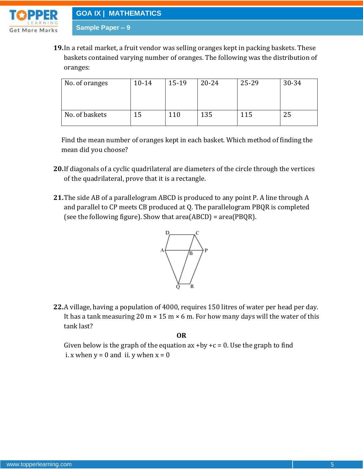

**19.**In a retail market, a fruit vendor was selling oranges kept in packing baskets. These baskets contained varying number of oranges. The following was the distribution of oranges:

| No. of oranges | $10 - 14$ | $15-19$ | $20 - 24$ | 25-29 | 30-34 |
|----------------|-----------|---------|-----------|-------|-------|
| No. of baskets | 15        | 110     | 135       | 115   | 25    |

Find the mean number of oranges kept in each basket. Which method of finding the mean did you choose?

- **20.**If diagonals of a cyclic quadrilateral are diameters of the circle through the vertices of the quadrilateral, prove that it is a rectangle.
- **21.**The side AB of a parallelogram ABCD is produced to any point P. A line through A and parallel to CP meets CB produced at Q. The parallelogram PBQR is completed (see the following figure). Show that area(ABCD) = area(PBQR).



**22.**A village, having a population of 4000, requires 150 litres of water per head per day. It has a tank measuring 20 m  $\times$  15 m  $\times$  6 m. For how many days will the water of this tank last?

**OR**

Given below is the graph of the equation ax  $+by +c = 0$ . Use the graph to find i. x when  $y = 0$  and ii. y when  $x = 0$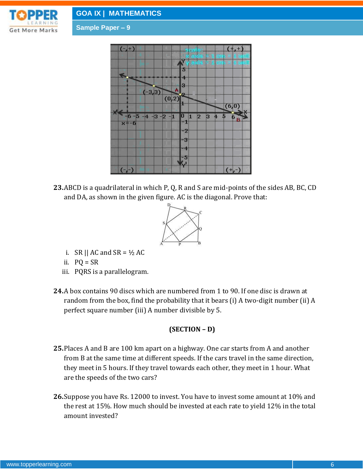



**23.**ABCD is a quadrilateral in which P, Q, R and S are mid-points of the sides AB, BC, CD and DA, as shown in the given figure. AC is the diagonal. Prove that:



- i. SR || AC and SR =  $\frac{1}{2}$  AC
- ii.  $PQ = SR$
- iii. PQRS is a parallelogram.
- **24.**A box contains 90 discs which are numbered from 1 to 90. If one disc is drawn at random from the box, find the probability that it bears (i) A two-digit number (ii) A perfect square number (iii) A number divisible by 5.

## **(SECTION – D)**

- **25.**Places A and B are 100 km apart on a highway. One car starts from A and another from B at the same time at different speeds. If the cars travel in the same direction, they meet in 5 hours. If they travel towards each other, they meet in 1 hour. What are the speeds of the two cars?
- **26.**Suppose you have Rs. 12000 to invest. You have to invest some amount at 10% and the rest at 15%. How much should be invested at each rate to yield 12% in the total amount invested?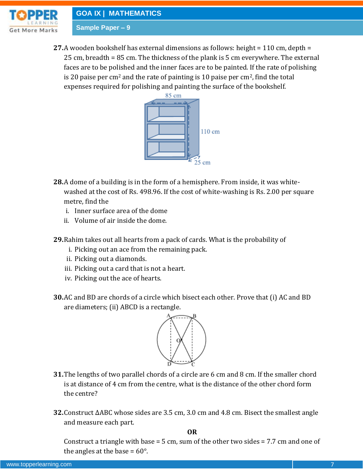

**27.**A wooden bookshelf has external dimensions as follows: height = 110 cm, depth = 25 cm, breadth = 85 cm. The thickness of the plank is 5 cm everywhere. The external faces are to be polished and the inner faces are to be painted. If the rate of polishing is 20 paise per cm<sup>2</sup> and the rate of painting is 10 paise per cm<sup>2</sup>, find the total expenses required for polishing and painting the surface of the bookshelf.



- **28.**A dome of a building is in the form of a hemisphere. From inside, it was whitewashed at the cost of Rs. 498.96. If the cost of white-washing is Rs. 2.00 per square metre, find the
	- i. Inner surface area of the dome
	- ii. Volume of air inside the dome.
- **29.**Rahim takes out all hearts from a pack of cards. What is the probability of
	- i. Picking out an ace from the remaining pack.
	- ii. Picking out a diamonds.
	- iii. Picking out a card that is not a heart.
	- iv. Picking out the ace of hearts.
- **30.**AC and BD are chords of a circle which bisect each other. Prove that (i) AC and BD are diameters; (ii) ABCD is a rectangle.



- **31.**The lengths of two parallel chords of a circle are 6 cm and 8 cm. If the smaller chord is at distance of 4 cm from the centre, what is the distance of the other chord form the centre?
- **32.**Construct ∆ABC whose sides are 3.5 cm, 3.0 cm and 4.8 cm. Bisect the smallest angle and measure each part.

**OR**

Construct a triangle with base = 5 cm, sum of the other two sides =  $7.7$  cm and one of the angles at the base =  $60^{\circ}$ .